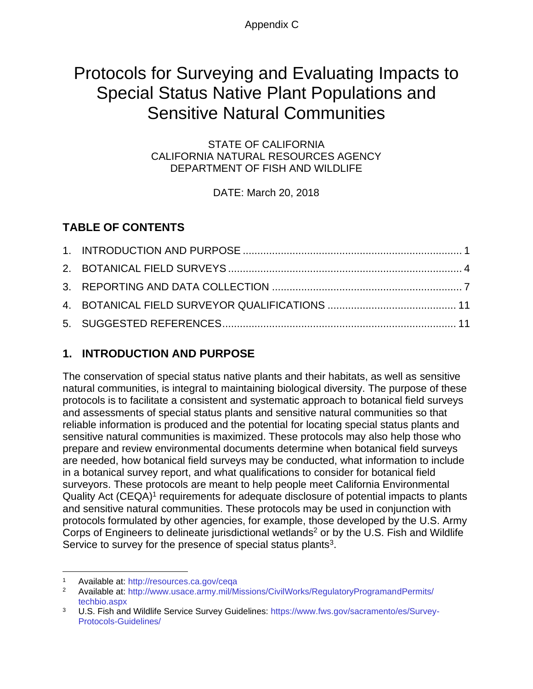Appendix C

# Protocols for Surveying and Evaluating Impacts to Special Status Native Plant Populations and Sensitive Natural Communities

STATE OF CALIFORNIA CALIFORNIA NATURAL RESOURCES AGENCY DEPARTMENT OF FISH AND WILDLIFE

DATE: March 20, 2018

# **TABLE OF CONTENTS**

# <span id="page-0-0"></span>**1. INTRODUCTION AND PURPOSE**

The conservation of special status native plants and their habitats, as well as sensitive natural communities, is integral to maintaining biological diversity. The purpose of these protocols is to facilitate a consistent and systematic approach to botanical field surveys and assessments of special status plants and sensitive natural communities so that reliable information is produced and the potential for locating special status plants and sensitive natural communities is maximized. These protocols may also help those who prepare and review environmental documents determine when botanical field surveys are needed, how botanical field surveys may be conducted, what information to include in a botanical survey report, and what qualifications to consider for botanical field surveyors. These protocols are meant to help people meet California Environmental Quality Act (CEQA)<sup>1</sup> requirements for adequate disclosure of potential impacts to plants and sensitive natural communities. These protocols may be used in conjunction with protocols formulated by other agencies, for example, those developed by the U.S. Army Corps of Engineers to delineate jurisdictional wetlands<sup>2</sup> or by the U.S. Fish and Wildlife Service to survey for the presence of special status plants $3$ .

Available at:<http://resources.ca.gov/ceqa>

<sup>2</sup> Available at: [http://www.usace.army.mil/Missions/CivilWorks/RegulatoryProgramandPermits/](http://www.usace.army.mil/Missions/CivilWorks/RegulatoryProgramandPermits/techbio.aspx) [techbio.aspx](http://www.usace.army.mil/Missions/CivilWorks/RegulatoryProgramandPermits/techbio.aspx)

<sup>3</sup> U.S. Fish and Wildlife Service Survey Guidelines: [https://www.fws.gov/sacramento/es/Survey-](https://www.fws.gov/sacramento/es/Survey-Protocols-Guidelines/)[Protocols-Guidelines/](https://www.fws.gov/sacramento/es/Survey-Protocols-Guidelines/)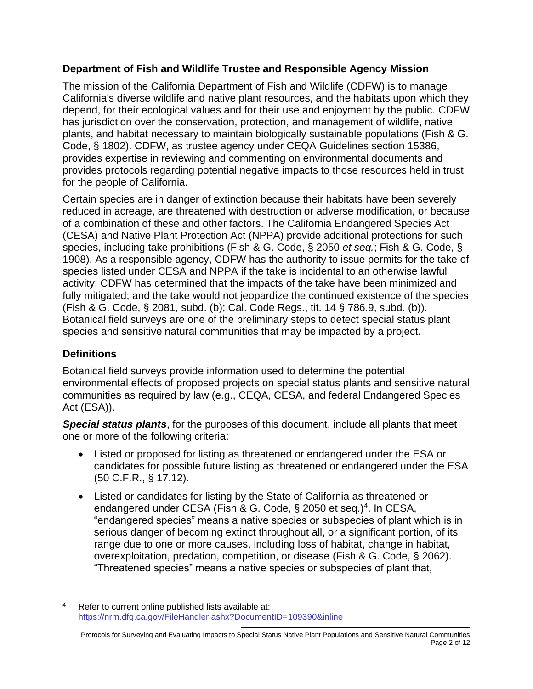#### **Department of Fish and Wildlife Trustee and Responsible Agency Mission**

The mission of the California Department of Fish and Wildlife (CDFW) is to manage California's diverse wildlife and native plant resources, and the habitats upon which they depend, for their ecological values and for their use and enjoyment by the public. CDFW has jurisdiction over the conservation, protection, and management of wildlife, native plants, and habitat necessary to maintain biologically sustainable populations (Fish & G. Code, § 1802). CDFW, as trustee agency under CEQA Guidelines section 15386, provides expertise in reviewing and commenting on environmental documents and provides protocols regarding potential negative impacts to those resources held in trust for the people of California.

Certain species are in danger of extinction because their habitats have been severely reduced in acreage, are threatened with destruction or adverse modification, or because of a combination of these and other factors. The California Endangered Species Act (CESA) and Native Plant Protection Act (NPPA) provide additional protections for such species, including take prohibitions (Fish & G. Code, § 2050 *et seq.*; Fish & G. Code, § 1908). As a responsible agency, CDFW has the authority to issue permits for the take of species listed under CESA and NPPA if the take is incidental to an otherwise lawful activity; CDFW has determined that the impacts of the take have been minimized and fully mitigated; and the take would not jeopardize the continued existence of the species (Fish & G. Code, § 2081, subd. (b); Cal. Code Regs., tit. 14 § 786.9, subd. (b)). Botanical field surveys are one of the preliminary steps to detect special status plant species and sensitive natural communities that may be impacted by a project.

## **Definitions**

Botanical field surveys provide information used to determine the potential environmental effects of proposed projects on special status plants and sensitive natural communities as required by law (e.g., CEQA, CESA, and federal Endangered Species Act (ESA)).

*Special status plants*, for the purposes of this document, include all plants that meet one or more of the following criteria:

- Listed or proposed for listing as threatened or endangered under the ESA or candidates for possible future listing as threatened or endangered under the ESA (50 C.F.R., § 17.12).
- Listed or candidates for listing by the State of California as threatened or endangered under CESA (Fish & G. Code, § 2050 et seq.)<sup>4</sup>. In CESA, "endangered species" means a native species or subspecies of plant which is in serious danger of becoming extinct throughout all, or a significant portion, of its range due to one or more causes, including loss of habitat, change in habitat, overexploitation, predation, competition, or disease (Fish & G. Code, § 2062). "Threatened species" means a native species or subspecies of plant that,

Refer to current online published lists available at: <https://nrm.dfg.ca.gov/FileHandler.ashx?DocumentID=109390&inline>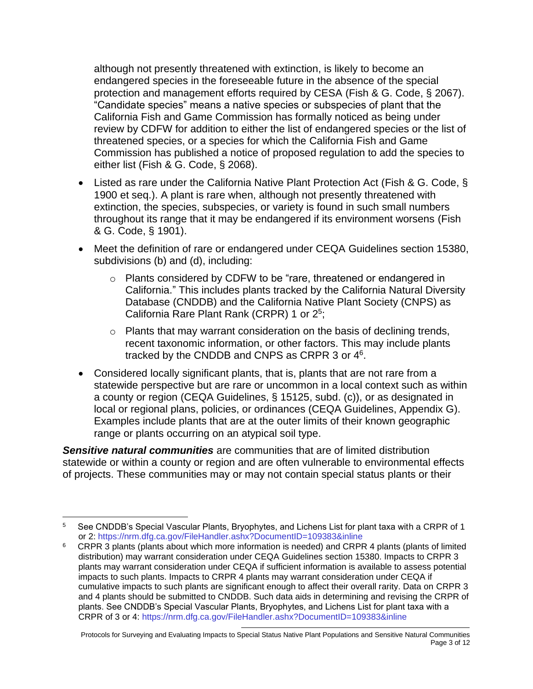although not presently threatened with extinction, is likely to become an endangered species in the foreseeable future in the absence of the special protection and management efforts required by CESA (Fish & G. Code, § 2067). "Candidate species" means a native species or subspecies of plant that the California Fish and Game Commission has formally noticed as being under review by CDFW for addition to either the list of endangered species or the list of threatened species, or a species for which the California Fish and Game Commission has published a notice of proposed regulation to add the species to either list (Fish & G. Code, § 2068).

- Listed as rare under the California Native Plant Protection Act (Fish & G. Code, § 1900 et seq.). A plant is rare when, although not presently threatened with extinction, the species, subspecies, or variety is found in such small numbers throughout its range that it may be endangered if its environment worsens (Fish & G. Code, § 1901).
- Meet the definition of rare or endangered under CEQA Guidelines section 15380, subdivisions (b) and (d), including:
	- o Plants considered by CDFW to be "rare, threatened or endangered in California." This includes plants tracked by the California Natural Diversity Database (CNDDB) and the California Native Plant Society (CNPS) as California Rare Plant Rank (CRPR) 1 or 2<sup>5</sup>;
	- o Plants that may warrant consideration on the basis of declining trends, recent taxonomic information, or other factors. This may include plants tracked by the CNDDB and CNPS as CRPR 3 or 4<sup>6</sup>.
- Considered locally significant plants, that is, plants that are not rare from a statewide perspective but are rare or uncommon in a local context such as within a county or region (CEQA Guidelines, § 15125, subd. (c)), or as designated in local or regional plans, policies, or ordinances (CEQA Guidelines, Appendix G). Examples include plants that are at the outer limits of their known geographic range or plants occurring on an atypical soil type.

*Sensitive natural communities* are communities that are of limited distribution statewide or within a county or region and are often vulnerable to environmental effects of projects. These communities may or may not contain special status plants or their

<sup>&</sup>lt;sup>5</sup> See CNDDB's Special Vascular Plants, Bryophytes, and Lichens List for plant taxa with a CRPR of 1 or 2:<https://nrm.dfg.ca.gov/FileHandler.ashx?DocumentID=109383&inline>

<sup>6</sup> CRPR 3 plants (plants about which more information is needed) and CRPR 4 plants (plants of limited distribution) may warrant consideration under CEQA Guidelines section 15380. Impacts to CRPR 3 plants may warrant consideration under CEQA if sufficient information is available to assess potential impacts to such plants. Impacts to CRPR 4 plants may warrant consideration under CEQA if cumulative impacts to such plants are significant enough to affect their overall rarity. Data on CRPR 3 and 4 plants should be submitted to CNDDB. Such data aids in determining and revising the CRPR of plants. See CNDDB's Special Vascular Plants, Bryophytes, and Lichens List for plant taxa with a CRPR of 3 or 4:<https://nrm.dfg.ca.gov/FileHandler.ashx?DocumentID=109383&inline>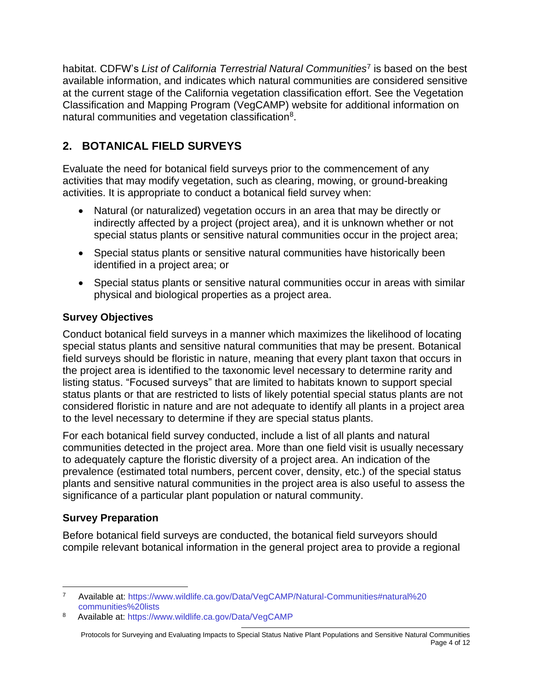habitat. CDFW's *List of California Terrestrial Natural Communities*<sup>7</sup> is based on the best available information, and indicates which natural communities are considered sensitive at the current stage of the California vegetation classification effort. See the Vegetation Classification and Mapping Program (VegCAMP) website for additional information on natural communities and vegetation classification<sup>8</sup>.

# <span id="page-3-0"></span>**2. BOTANICAL FIELD SURVEYS**

Evaluate the need for botanical field surveys prior to the commencement of any activities that may modify vegetation, such as clearing, mowing, or ground-breaking activities. It is appropriate to conduct a botanical field survey when:

- Natural (or naturalized) vegetation occurs in an area that may be directly or indirectly affected by a project (project area), and it is unknown whether or not special status plants or sensitive natural communities occur in the project area;
- Special status plants or sensitive natural communities have historically been identified in a project area; or
- Special status plants or sensitive natural communities occur in areas with similar physical and biological properties as a project area.

## **Survey Objectives**

Conduct botanical field surveys in a manner which maximizes the likelihood of locating special status plants and sensitive natural communities that may be present. Botanical field surveys should be floristic in nature, meaning that every plant taxon that occurs in the project area is identified to the taxonomic level necessary to determine rarity and listing status. "Focused surveys" that are limited to habitats known to support special status plants or that are restricted to lists of likely potential special status plants are not considered floristic in nature and are not adequate to identify all plants in a project area to the level necessary to determine if they are special status plants.

For each botanical field survey conducted, include a list of all plants and natural communities detected in the project area. More than one field visit is usually necessary to adequately capture the floristic diversity of a project area. An indication of the prevalence (estimated total numbers, percent cover, density, etc.) of the special status plants and sensitive natural communities in the project area is also useful to assess the significance of a particular plant population or natural community.

## **Survey Preparation**

Before botanical field surveys are conducted, the botanical field surveyors should compile relevant botanical information in the general project area to provide a regional

<sup>7</sup> Available at: [https://www.wildlife.ca.gov/Data/VegCAMP/Natural-Communities#natural%20](https://www.wildlife.ca.gov/Data/VegCAMP/Natural-Communities#natural%20communities%20lists) [communities%20lists](https://www.wildlife.ca.gov/Data/VegCAMP/Natural-Communities#natural%20communities%20lists)

<sup>8</sup> Available at:<https://www.wildlife.ca.gov/Data/VegCAMP>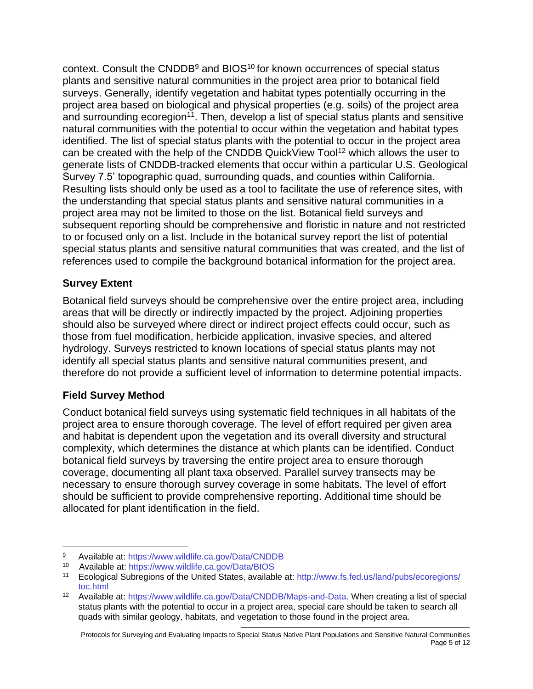context. Consult the CNDDB<sup>9</sup> and BIOS<sup>10</sup> for known occurrences of special status plants and sensitive natural communities in the project area prior to botanical field surveys. Generally, identify vegetation and habitat types potentially occurring in the project area based on biological and physical properties (e.g. soils) of the project area and surrounding ecoregion<sup>11</sup>. Then, develop a list of special status plants and sensitive natural communities with the potential to occur within the vegetation and habitat types identified. The list of special status plants with the potential to occur in the project area can be created with the help of the CNDDB QuickView Tool<sup>12</sup> which allows the user to generate lists of CNDDB-tracked elements that occur within a particular U.S. Geological Survey 7.5' topographic quad, surrounding quads, and counties within California. Resulting lists should only be used as a tool to facilitate the use of reference sites, with the understanding that special status plants and sensitive natural communities in a project area may not be limited to those on the list. Botanical field surveys and subsequent reporting should be comprehensive and floristic in nature and not restricted to or focused only on a list. Include in the botanical survey report the list of potential special status plants and sensitive natural communities that was created, and the list of references used to compile the background botanical information for the project area.

#### **Survey Extent**

Botanical field surveys should be comprehensive over the entire project area, including areas that will be directly or indirectly impacted by the project. Adjoining properties should also be surveyed where direct or indirect project effects could occur, such as those from fuel modification, herbicide application, invasive species, and altered hydrology. Surveys restricted to known locations of special status plants may not identify all special status plants and sensitive natural communities present, and therefore do not provide a sufficient level of information to determine potential impacts.

#### **Field Survey Method**

Conduct botanical field surveys using systematic field techniques in all habitats of the project area to ensure thorough coverage. The level of effort required per given area and habitat is dependent upon the vegetation and its overall diversity and structural complexity, which determines the distance at which plants can be identified. Conduct botanical field surveys by traversing the entire project area to ensure thorough coverage, documenting all plant taxa observed. Parallel survey transects may be necessary to ensure thorough survey coverage in some habitats. The level of effort should be sufficient to provide comprehensive reporting. Additional time should be allocated for plant identification in the field.

<sup>9</sup> Available at:<https://www.wildlife.ca.gov/Data/CNDDB><br>10 Available at: https://www.wildlife.ca.gov/Data/BIOS

Available at:<https://www.wildlife.ca.gov/Data/BIOS>

<sup>11</sup> Ecological Subregions of the United States, available at: [http://www.fs.fed.us/land/pubs/ecoregions/](http://www.fs.fed.us/land/pubs/ecoregions/toc.html) [toc.html](http://www.fs.fed.us/land/pubs/ecoregions/toc.html)

<sup>12</sup> Available at: [https://www.wildlife.ca.gov/Data/CNDDB/Maps-and-Data.](https://www.wildlife.ca.gov/Data/CNDDB/Maps-and-Data) When creating a list of special status plants with the potential to occur in a project area, special care should be taken to search all quads with similar geology, habitats, and vegetation to those found in the project area.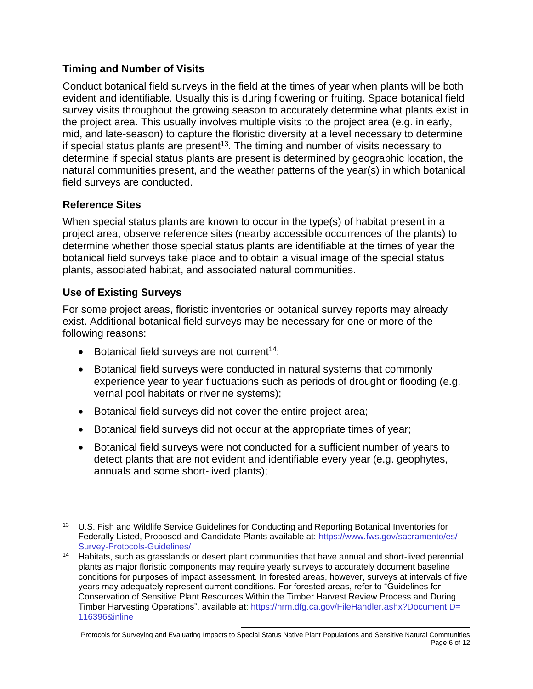#### **Timing and Number of Visits**

Conduct botanical field surveys in the field at the times of year when plants will be both evident and identifiable. Usually this is during flowering or fruiting. Space botanical field survey visits throughout the growing season to accurately determine what plants exist in the project area. This usually involves multiple visits to the project area (e.g. in early, mid, and late-season) to capture the floristic diversity at a level necessary to determine if special status plants are present<sup>13</sup>. The timing and number of visits necessary to determine if special status plants are present is determined by geographic location, the natural communities present, and the weather patterns of the year(s) in which botanical field surveys are conducted.

#### **Reference Sites**

When special status plants are known to occur in the type(s) of habitat present in a project area, observe reference sites (nearby accessible occurrences of the plants) to determine whether those special status plants are identifiable at the times of year the botanical field surveys take place and to obtain a visual image of the special status plants, associated habitat, and associated natural communities.

#### **Use of Existing Surveys**

For some project areas, floristic inventories or botanical survey reports may already exist. Additional botanical field surveys may be necessary for one or more of the following reasons:

- $\bullet$  Botanical field surveys are not current<sup>14</sup>;
- Botanical field surveys were conducted in natural systems that commonly experience year to year fluctuations such as periods of drought or flooding (e.g. vernal pool habitats or riverine systems);
- Botanical field surveys did not cover the entire project area;
- Botanical field surveys did not occur at the appropriate times of year;
- Botanical field surveys were not conducted for a sufficient number of years to detect plants that are not evident and identifiable every year (e.g. geophytes, annuals and some short-lived plants);

<sup>&</sup>lt;sup>13</sup> U.S. Fish and Wildlife Service Guidelines for Conducting and Reporting Botanical Inventories for Federally Listed, Proposed and Candidate Plants available at: [https://www.fws.gov/sacramento/es/](https://www.fws.gov/sacramento/es/Survey-Protocols-Guidelines/) [Survey-Protocols-Guidelines/](https://www.fws.gov/sacramento/es/Survey-Protocols-Guidelines/)

<sup>14</sup> Habitats, such as grasslands or desert plant communities that have annual and short-lived perennial plants as major floristic components may require yearly surveys to accurately document baseline conditions for purposes of impact assessment. In forested areas, however, surveys at intervals of five years may adequately represent current conditions. For forested areas, refer to "Guidelines for Conservation of Sensitive Plant Resources Within the Timber Harvest Review Process and During Timber Harvesting Operations", available at: [https://nrm.dfg.ca.gov/FileHandler.ashx?DocumentID=](https://nrm.dfg.ca.gov/FileHandler.ashx?DocumentID=116396&inline) [116396&inline](https://nrm.dfg.ca.gov/FileHandler.ashx?DocumentID=116396&inline)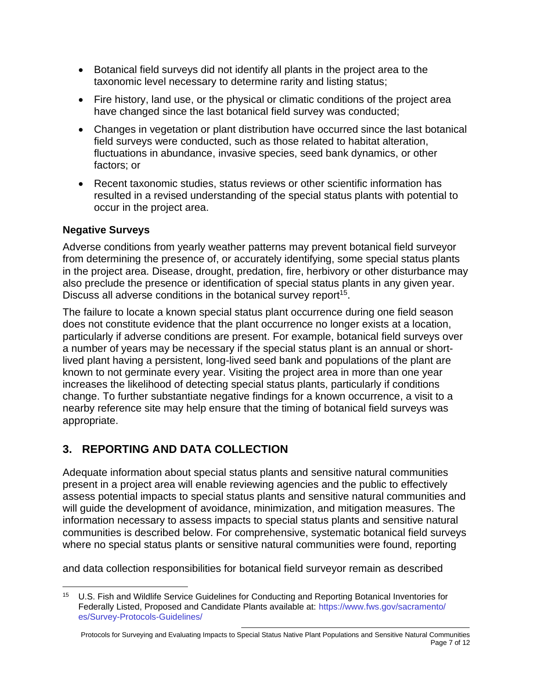- Botanical field surveys did not identify all plants in the project area to the taxonomic level necessary to determine rarity and listing status;
- Fire history, land use, or the physical or climatic conditions of the project area have changed since the last botanical field survey was conducted;
- Changes in vegetation or plant distribution have occurred since the last botanical field surveys were conducted, such as those related to habitat alteration, fluctuations in abundance, invasive species, seed bank dynamics, or other factors; or
- Recent taxonomic studies, status reviews or other scientific information has resulted in a revised understanding of the special status plants with potential to occur in the project area.

#### **Negative Surveys**

Adverse conditions from yearly weather patterns may prevent botanical field surveyor from determining the presence of, or accurately identifying, some special status plants in the project area. Disease, drought, predation, fire, herbivory or other disturbance may also preclude the presence or identification of special status plants in any given year. Discuss all adverse conditions in the botanical survey report<sup>15</sup>.

The failure to locate a known special status plant occurrence during one field season does not constitute evidence that the plant occurrence no longer exists at a location, particularly if adverse conditions are present. For example, botanical field surveys over a number of years may be necessary if the special status plant is an annual or shortlived plant having a persistent, long-lived seed bank and populations of the plant are known to not germinate every year. Visiting the project area in more than one year increases the likelihood of detecting special status plants, particularly if conditions change. To further substantiate negative findings for a known occurrence, a visit to a nearby reference site may help ensure that the timing of botanical field surveys was appropriate.

# <span id="page-6-0"></span>**3. REPORTING AND DATA COLLECTION**

Adequate information about special status plants and sensitive natural communities present in a project area will enable reviewing agencies and the public to effectively assess potential impacts to special status plants and sensitive natural communities and will guide the development of avoidance, minimization, and mitigation measures. The information necessary to assess impacts to special status plants and sensitive natural communities is described below. For comprehensive, systematic botanical field surveys where no special status plants or sensitive natural communities were found, reporting

and data collection responsibilities for botanical field surveyor remain as described

<sup>15</sup> U.S. Fish and Wildlife Service Guidelines for Conducting and Reporting Botanical Inventories for Federally Listed, Proposed and Candidate Plants available at: [https://www.fws.gov/sacramento/](https://www.fws.gov/sacramento/es/Survey-Protocols-Guidelines/) [es/Survey-Protocols-Guidelines/](https://www.fws.gov/sacramento/es/Survey-Protocols-Guidelines/)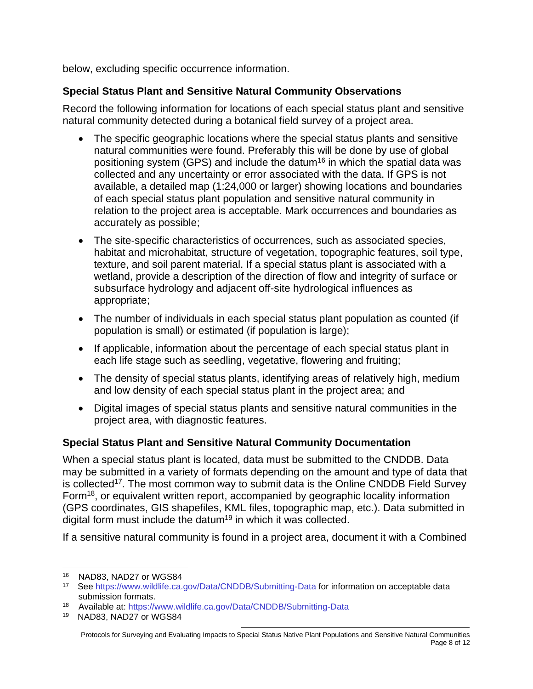below, excluding specific occurrence information.

#### **Special Status Plant and Sensitive Natural Community Observations**

Record the following information for locations of each special status plant and sensitive natural community detected during a botanical field survey of a project area.

- The specific geographic locations where the special status plants and sensitive natural communities were found. Preferably this will be done by use of global positioning system (GPS) and include the datum<sup>16</sup> in which the spatial data was collected and any uncertainty or error associated with the data. If GPS is not available, a detailed map (1:24,000 or larger) showing locations and boundaries of each special status plant population and sensitive natural community in relation to the project area is acceptable. Mark occurrences and boundaries as accurately as possible;
- The site-specific characteristics of occurrences, such as associated species, habitat and microhabitat, structure of vegetation, topographic features, soil type, texture, and soil parent material. If a special status plant is associated with a wetland, provide a description of the direction of flow and integrity of surface or subsurface hydrology and adjacent off-site hydrological influences as appropriate;
- The number of individuals in each special status plant population as counted (if population is small) or estimated (if population is large);
- If applicable, information about the percentage of each special status plant in each life stage such as seedling, vegetative, flowering and fruiting;
- The density of special status plants, identifying areas of relatively high, medium and low density of each special status plant in the project area; and
- Digital images of special status plants and sensitive natural communities in the project area, with diagnostic features.

## **Special Status Plant and Sensitive Natural Community Documentation**

When a special status plant is located, data must be submitted to the CNDDB. Data may be submitted in a variety of formats depending on the amount and type of data that is collected<sup>17</sup>. The most common way to submit data is the Online CNDDB Field Survey Form<sup>18</sup>, or equivalent written report, accompanied by geographic locality information (GPS coordinates, GIS shapefiles, KML files, topographic map, etc.). Data submitted in digital form must include the datum<sup>19</sup> in which it was collected.

If a sensitive natural community is found in a project area, document it with a Combined

<sup>16</sup> NAD83, NAD27 or WGS84

<sup>17</sup> See<https://www.wildlife.ca.gov/Data/CNDDB/Submitting-Data> for information on acceptable data submission formats.

<sup>18</sup> Available at:<https://www.wildlife.ca.gov/Data/CNDDB/Submitting-Data>

<sup>19</sup> NAD83, NAD27 or WGS84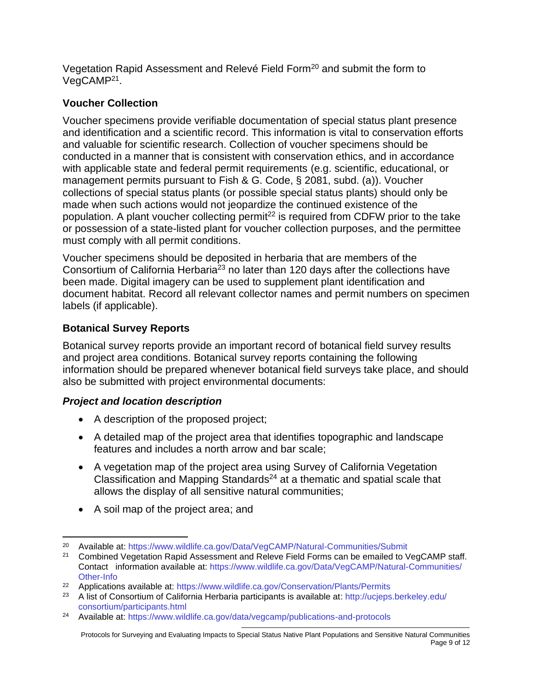Vegetation Rapid Assessment and Relevé Field Form<sup>20</sup> and submit the form to VegCAMP<sup>21</sup>.

#### **Voucher Collection**

Voucher specimens provide verifiable documentation of special status plant presence and identification and a scientific record. This information is vital to conservation efforts and valuable for scientific research. Collection of voucher specimens should be conducted in a manner that is consistent with conservation ethics, and in accordance with applicable state and federal permit requirements (e.g. scientific, educational, or management permits pursuant to Fish & G. Code, § 2081, subd. (a)). Voucher collections of special status plants (or possible special status plants) should only be made when such actions would not jeopardize the continued existence of the population. A plant voucher collecting permit $^{22}$  is required from CDFW prior to the take or possession of a state-listed plant for voucher collection purposes, and the permittee must comply with all permit conditions.

Voucher specimens should be deposited in herbaria that are members of the Consortium of California Herbaria<sup>23</sup> no later than 120 days after the collections have been made. Digital imagery can be used to supplement plant identification and document habitat. Record all relevant collector names and permit numbers on specimen labels (if applicable).

#### **Botanical Survey Reports**

Botanical survey reports provide an important record of botanical field survey results and project area conditions. Botanical survey reports containing the following information should be prepared whenever botanical field surveys take place, and should also be submitted with project environmental documents:

#### *Project and location description*

- A description of the proposed project;
- A detailed map of the project area that identifies topographic and landscape features and includes a north arrow and bar scale;
- A vegetation map of the project area using Survey of California Vegetation Classification and Mapping Standards<sup>24</sup> at a thematic and spatial scale that allows the display of all sensitive natural communities;
- A soil map of the project area; and

<sup>20</sup> Available at:<https://www.wildlife.ca.gov/Data/VegCAMP/Natural-Communities/Submit>

<sup>&</sup>lt;sup>21</sup> Combined Vegetation Rapid Assessment and Releve Field Forms can be emailed to VegCAMP staff. Contact information available at: [https://www.wildlife.ca.gov/Data/VegCAMP/Natural-Communities/](https://www.wildlife.ca.gov/Data/VegCAMP/Natural-Communities/Other-Info) [Other-Info](https://www.wildlife.ca.gov/Data/VegCAMP/Natural-Communities/Other-Info)

<sup>&</sup>lt;sup>22</sup> Applications available at: <https://www.wildlife.ca.gov/Conservation/Plants/Permits>

<sup>&</sup>lt;sup>23</sup> A list of Consortium of California Herbaria participants is available at: [http://ucjeps.berkeley.edu/](http://ucjeps.berkeley.edu/consortium/participants.html) [consortium/participants.html](http://ucjeps.berkeley.edu/consortium/participants.html)

<sup>24</sup> Available at:<https://www.wildlife.ca.gov/data/vegcamp/publications-and-protocols>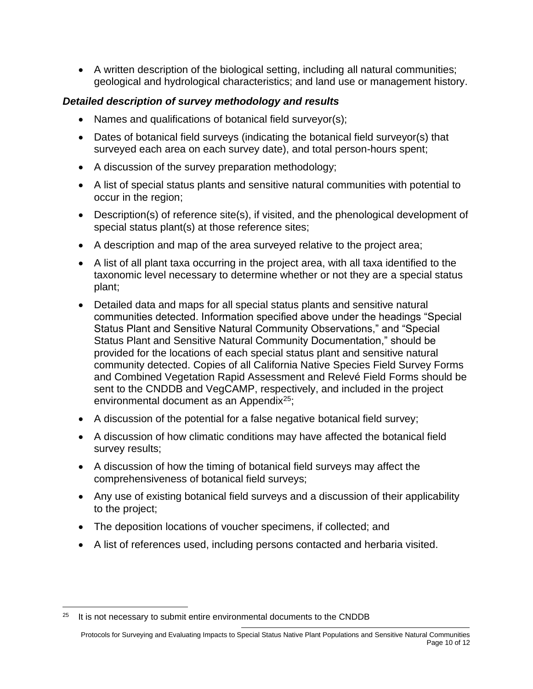• A written description of the biological setting, including all natural communities; geological and hydrological characteristics; and land use or management history.

#### *Detailed description of survey methodology and results*

- Names and qualifications of botanical field surveyor(s);
- Dates of botanical field surveys (indicating the botanical field surveyor(s) that surveyed each area on each survey date), and total person-hours spent;
- A discussion of the survey preparation methodology;
- A list of special status plants and sensitive natural communities with potential to occur in the region;
- Description(s) of reference site(s), if visited, and the phenological development of special status plant(s) at those reference sites;
- A description and map of the area surveyed relative to the project area;
- A list of all plant taxa occurring in the project area, with all taxa identified to the taxonomic level necessary to determine whether or not they are a special status plant;
- Detailed data and maps for all special status plants and sensitive natural communities detected. Information specified above under the headings "Special Status Plant and Sensitive Natural Community Observations," and "Special Status Plant and Sensitive Natural Community Documentation," should be provided for the locations of each special status plant and sensitive natural community detected. Copies of all California Native Species Field Survey Forms and Combined Vegetation Rapid Assessment and Relevé Field Forms should be sent to the CNDDB and VegCAMP, respectively, and included in the project environmental document as an Appendix $25$ ;
- A discussion of the potential for a false negative botanical field survey;
- A discussion of how climatic conditions may have affected the botanical field survey results;
- A discussion of how the timing of botanical field surveys may affect the comprehensiveness of botanical field surveys;
- Any use of existing botanical field surveys and a discussion of their applicability to the project;
- The deposition locations of voucher specimens, if collected; and
- A list of references used, including persons contacted and herbaria visited.

 $25$  It is not necessary to submit entire environmental documents to the CNDDB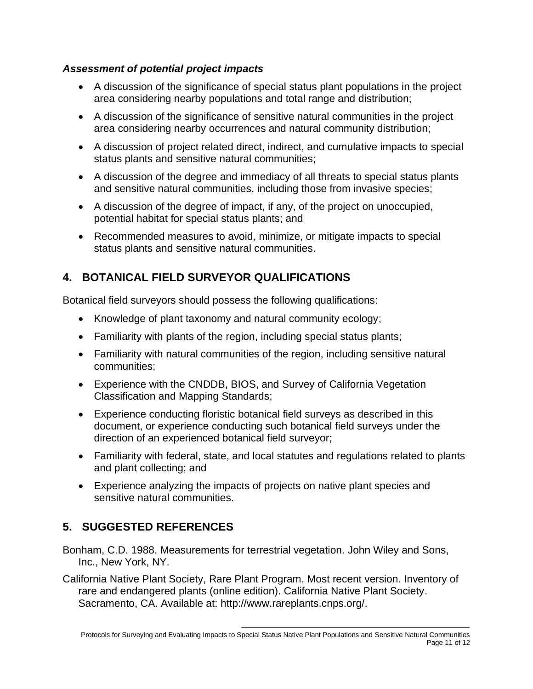#### *Assessment of potential project impacts*

- A discussion of the significance of special status plant populations in the project area considering nearby populations and total range and distribution;
- A discussion of the significance of sensitive natural communities in the project area considering nearby occurrences and natural community distribution;
- A discussion of project related direct, indirect, and cumulative impacts to special status plants and sensitive natural communities;
- A discussion of the degree and immediacy of all threats to special status plants and sensitive natural communities, including those from invasive species;
- A discussion of the degree of impact, if any, of the project on unoccupied, potential habitat for special status plants; and
- Recommended measures to avoid, minimize, or mitigate impacts to special status plants and sensitive natural communities.

# <span id="page-10-0"></span>**4. BOTANICAL FIELD SURVEYOR QUALIFICATIONS**

Botanical field surveyors should possess the following qualifications:

- Knowledge of plant taxonomy and natural community ecology;
- Familiarity with plants of the region, including special status plants;
- Familiarity with natural communities of the region, including sensitive natural communities;
- Experience with the CNDDB, BIOS, and Survey of California Vegetation Classification and Mapping Standards;
- Experience conducting floristic botanical field surveys as described in this document, or experience conducting such botanical field surveys under the direction of an experienced botanical field surveyor;
- Familiarity with federal, state, and local statutes and regulations related to plants and plant collecting; and
- Experience analyzing the impacts of projects on native plant species and sensitive natural communities.

# <span id="page-10-1"></span>**5. SUGGESTED REFERENCES**

Bonham, C.D. 1988. Measurements for terrestrial vegetation. John Wiley and Sons, Inc., New York, NY.

California Native Plant Society, Rare Plant Program. Most recent version. Inventory of rare and endangered plants (online edition). California Native Plant Society. Sacramento, CA. Available at: http://www.rareplants.cnps.org/.